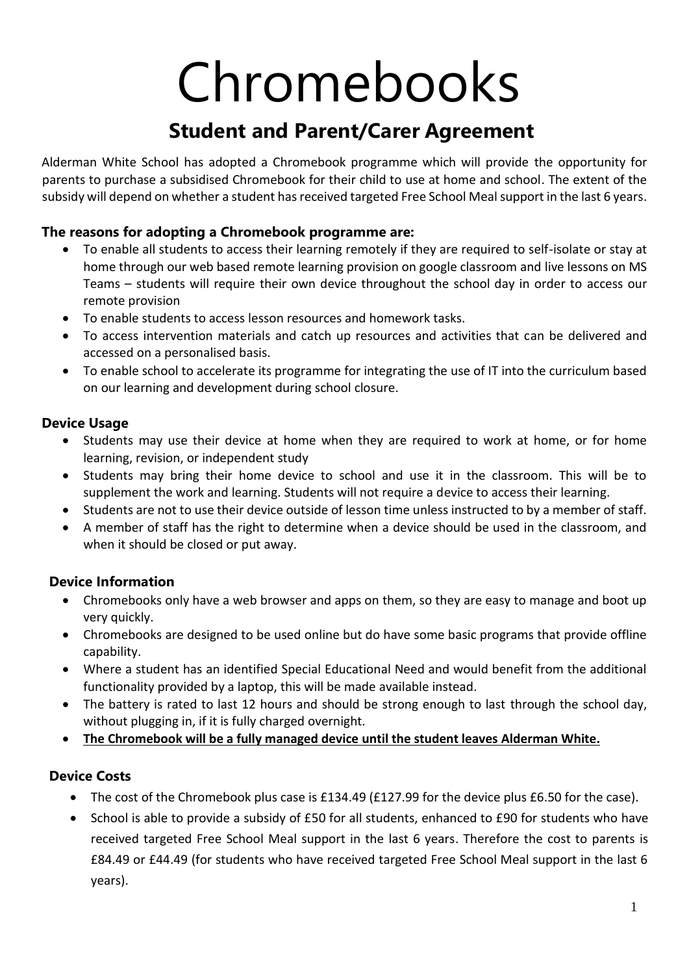# Chromebooks

# **Student and Parent/Carer Agreement**

Alderman White School has adopted a Chromebook programme which will provide the opportunity for parents to purchase a subsidised Chromebook for their child to use at home and school. The extent of the subsidy will depend on whether a student has received targeted Free School Meal support in the last 6 years.

### **The reasons for adopting a Chromebook programme are:**

- To enable all students to access their learning remotely if they are required to self-isolate or stay at home through our web based remote learning provision on google classroom and live lessons on MS Teams – students will require their own device throughout the school day in order to access our remote provision
- To enable students to access lesson resources and homework tasks.
- To access intervention materials and catch up resources and activities that can be delivered and accessed on a personalised basis.
- To enable school to accelerate its programme for integrating the use of IT into the curriculum based on our learning and development during school closure.

#### **Device Usage**

- Students may use their device at home when they are required to work at home, or for home learning, revision, or independent study
- Students may bring their home device to school and use it in the classroom. This will be to supplement the work and learning. Students will not require a device to access their learning.
- Students are not to use their device outside of lesson time unless instructed to by a member of staff.
- A member of staff has the right to determine when a device should be used in the classroom, and when it should be closed or put away.

## **Device Information**

- Chromebooks only have a web browser and apps on them, so they are easy to manage and boot up very quickly.
- Chromebooks are designed to be used online but do have some basic programs that provide offline capability.
- Where a student has an identified Special Educational Need and would benefit from the additional functionality provided by a laptop, this will be made available instead.
- The battery is rated to last 12 hours and should be strong enough to last through the school day, without plugging in, if it is fully charged overnight.
- **The Chromebook will be a fully managed device until the student leaves Alderman White.**

#### **Device Costs**

- The cost of the Chromebook plus case is £134.49 (£127.99 for the device plus £6.50 for the case).
- School is able to provide a subsidy of £50 for all students, enhanced to £90 for students who have received targeted Free School Meal support in the last 6 years. Therefore the cost to parents is £84.49 or £44.49 (for students who have received targeted Free School Meal support in the last 6 years).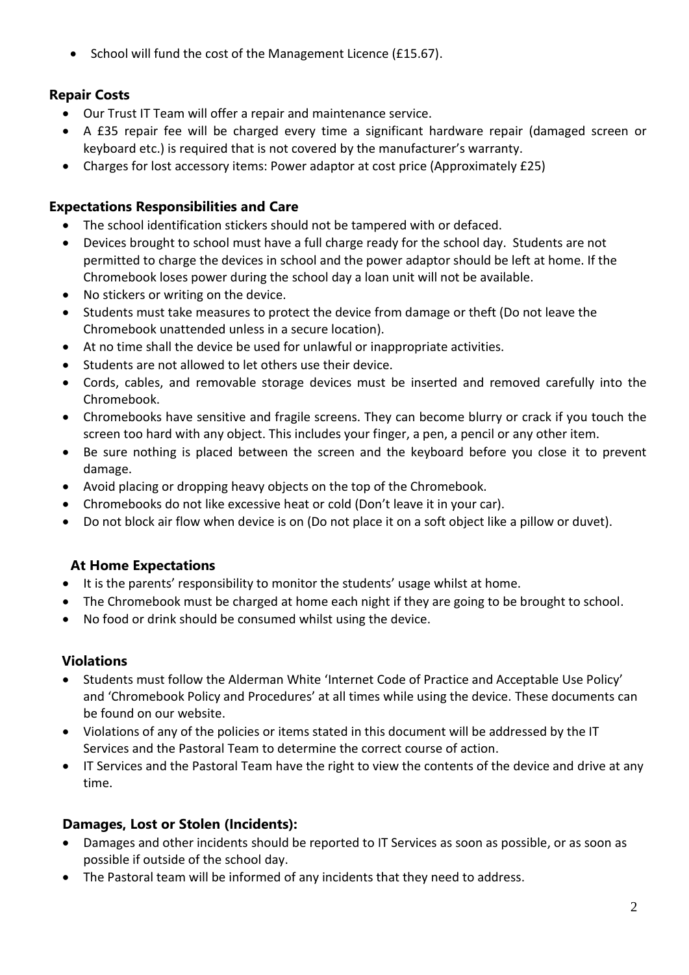• School will fund the cost of the Management Licence (£15.67).

### **Repair Costs**

- Our Trust IT Team will offer a repair and maintenance service.
- A £35 repair fee will be charged every time a significant hardware repair (damaged screen or keyboard etc.) is required that is not covered by the manufacturer's warranty.
- Charges for lost accessory items: Power adaptor at cost price (Approximately £25)

#### **Expectations Responsibilities and Care**

- The school identification stickers should not be tampered with or defaced.
- Devices brought to school must have a full charge ready for the school day. Students are not permitted to charge the devices in school and the power adaptor should be left at home. If the Chromebook loses power during the school day a loan unit will not be available.
- No stickers or writing on the device.
- Students must take measures to protect the device from damage or theft (Do not leave the Chromebook unattended unless in a secure location).
- At no time shall the device be used for unlawful or inappropriate activities.
- Students are not allowed to let others use their device.
- Cords, cables, and removable storage devices must be inserted and removed carefully into the Chromebook.
- Chromebooks have sensitive and fragile screens. They can become blurry or crack if you touch the screen too hard with any object. This includes your finger, a pen, a pencil or any other item.
- Be sure nothing is placed between the screen and the keyboard before you close it to prevent damage.
- Avoid placing or dropping heavy objects on the top of the Chromebook.
- Chromebooks do not like excessive heat or cold (Don't leave it in your car).
- Do not block air flow when device is on (Do not place it on a soft object like a pillow or duvet).

#### **At Home Expectations**

- It is the parents' responsibility to monitor the students' usage whilst at home.
- The Chromebook must be charged at home each night if they are going to be brought to school.
- No food or drink should be consumed whilst using the device.

#### **Violations**

- Students must follow the Alderman White 'Internet Code of Practice and Acceptable Use Policy' and 'Chromebook Policy and Procedures' at all times while using the device. These documents can be found on our website.
- Violations of any of the policies or items stated in this document will be addressed by the IT Services and the Pastoral Team to determine the correct course of action.
- IT Services and the Pastoral Team have the right to view the contents of the device and drive at any time.

#### **Damages, Lost or Stolen (Incidents):**

- Damages and other incidents should be reported to IT Services as soon as possible, or as soon as possible if outside of the school day.
- The Pastoral team will be informed of any incidents that they need to address.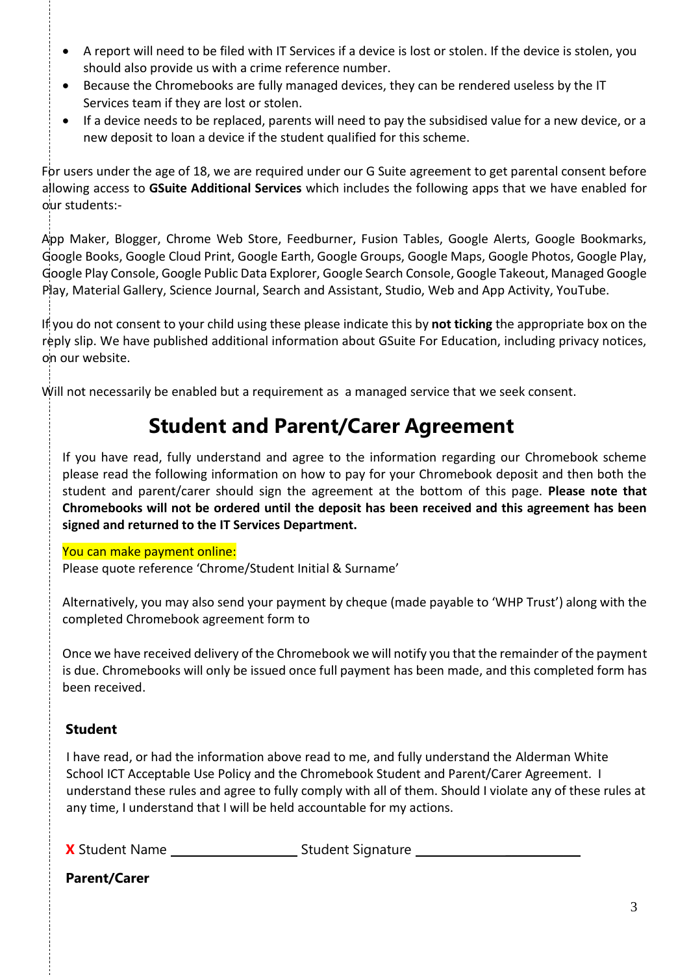- A report will need to be filed with IT Services if a device is lost or stolen. If the device is stolen, you should also provide us with a crime reference number.
- Because the Chromebooks are fully managed devices, they can be rendered useless by the IT Services team if they are lost or stolen.
- If a device needs to be replaced, parents will need to pay the subsidised value for a new device, or a new deposit to loan a device if the student qualified for this scheme.

For users under the age of 18, we are required under our G Suite agreement to get parental consent before allowing access to **GSuite Additional Services** which includes the following apps that we have enabled for our students:-

App Maker, Blogger, Chrome Web Store, Feedburner, Fusion Tables, Google Alerts, Google Bookmarks, Google Books, Google Cloud Print, Google Earth, Google Groups, Google Maps, Google Photos, Google Play, Google Play Console, Google Public Data Explorer, Google Search Console, Google Takeout, Managed Google Play, Material Gallery, Science Journal, Search and Assistant, Studio, Web and App Activity, YouTube.

If you do not consent to your child using these please indicate this by **not ticking** the appropriate box on the reply slip. We have published additional information about GSuite For Education, including privacy notices, on our website.

Will not necessarily be enabled but a requirement as a managed service that we seek consent.

# **Student and Parent/Carer Agreement**

If you have read, fully understand and agree to the information regarding our Chromebook scheme please read the following information on how to pay for your Chromebook deposit and then both the student and parent/carer should sign the agreement at the bottom of this page. **Please note that Chromebooks will not be ordered until the deposit has been received and this agreement has been signed and returned to the IT Services Department.**

#### You can make payment online:

Please quote reference 'Chrome/Student Initial & Surname'

Alternatively, you may also send your payment by cheque (made payable to 'WHP Trust') along with the completed Chromebook agreement form to

Once we have received delivery of the Chromebook we will notify you that the remainder of the payment is due. Chromebooks will only be issued once full payment has been made, and this completed form has been received.

#### **Student**

I have read, or had the information above read to me, and fully understand the Alderman White School ICT Acceptable Use Policy and the Chromebook Student and Parent/Carer Agreement. I understand these rules and agree to fully comply with all of them. Should I violate any of these rules at any time, I understand that I will be held accountable for my actions.

**X** Student Name Student Signature \_\_\_\_\_\_\_\_\_\_\_\_\_

**Parent/Carer**